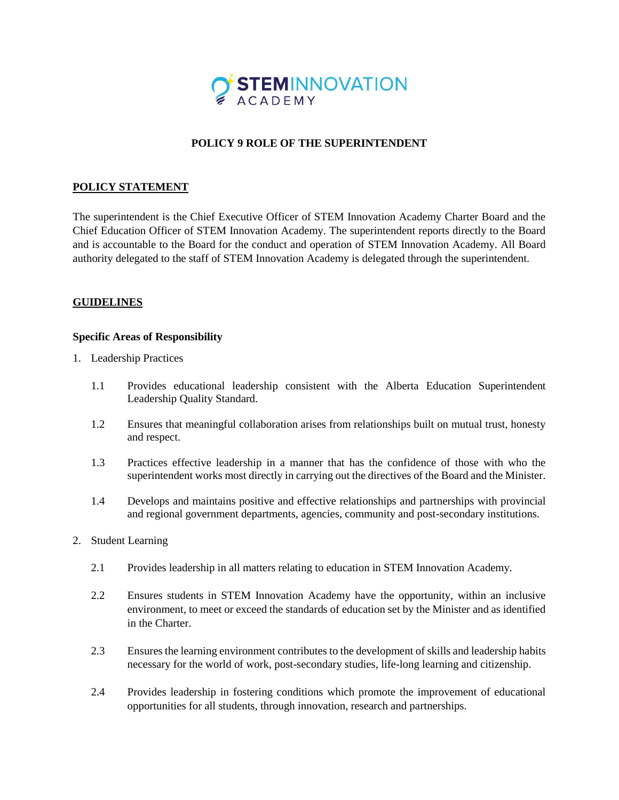

## **POLICY 9 ROLE OF THE SUPERINTENDENT**

## **POLICY STATEMENT**

The superintendent is the Chief Executive Officer of STEM Innovation Academy Charter Board and the Chief Education Officer of STEM Innovation Academy. The superintendent reports directly to the Board and is accountable to the Board for the conduct and operation of STEM Innovation Academy. All Board authority delegated to the staff of STEM Innovation Academy is delegated through the superintendent.

## **GUIDELINES**

## **Specific Areas of Responsibility**

- 1. Leadership Practices
	- 1.1 Provides educational leadership consistent with the Alberta Education Superintendent Leadership Quality Standard.
	- 1.2 Ensures that meaningful collaboration arises from relationships built on mutual trust, honesty and respect.
	- 1.3 Practices effective leadership in a manner that has the confidence of those with who the superintendent works most directly in carrying out the directives of the Board and the Minister.
	- 1.4 Develops and maintains positive and effective relationships and partnerships with provincial and regional government departments, agencies, community and post-secondary institutions.
- 2. Student Learning
	- 2.1 Provides leadership in all matters relating to education in STEM Innovation Academy.
	- 2.2 Ensures students in STEM Innovation Academy have the opportunity, within an inclusive environment, to meet or exceed the standards of education set by the Minister and as identified in the Charter.
	- 2.3 Ensures the learning environment contributes to the development of skills and leadership habits necessary for the world of work, post-secondary studies, life-long learning and citizenship.
	- 2.4 Provides leadership in fostering conditions which promote the improvement of educational opportunities for all students, through innovation, research and partnerships.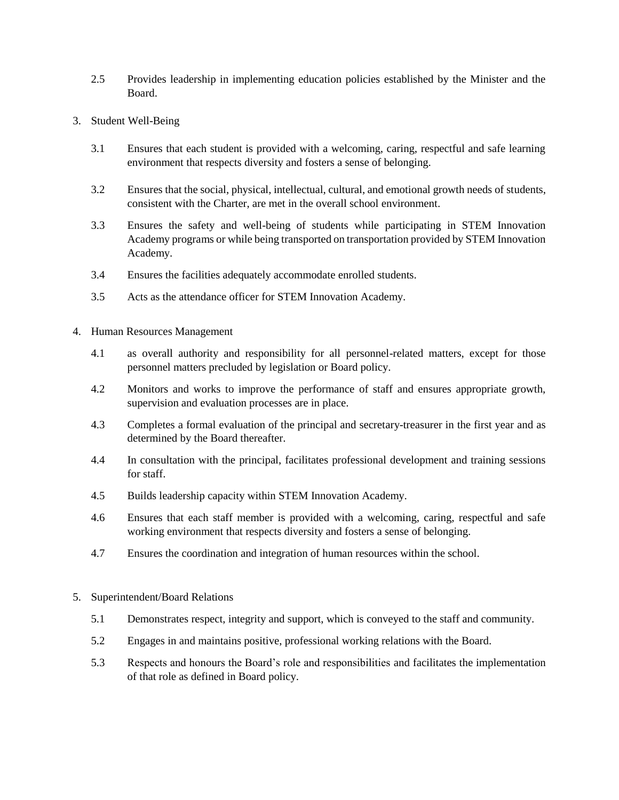- 2.5 Provides leadership in implementing education policies established by the Minister and the Board.
- 3. Student Well-Being
	- 3.1 Ensures that each student is provided with a welcoming, caring, respectful and safe learning environment that respects diversity and fosters a sense of belonging.
	- 3.2 Ensures that the social, physical, intellectual, cultural, and emotional growth needs of students, consistent with the Charter, are met in the overall school environment.
	- 3.3 Ensures the safety and well-being of students while participating in STEM Innovation Academy programs or while being transported on transportation provided by STEM Innovation Academy.
	- 3.4 Ensures the facilities adequately accommodate enrolled students.
	- 3.5 Acts as the attendance officer for STEM Innovation Academy.
- 4. Human Resources Management
	- 4.1 as overall authority and responsibility for all personnel-related matters, except for those personnel matters precluded by legislation or Board policy.
	- 4.2 Monitors and works to improve the performance of staff and ensures appropriate growth, supervision and evaluation processes are in place.
	- 4.3 Completes a formal evaluation of the principal and secretary-treasurer in the first year and as determined by the Board thereafter.
	- 4.4 In consultation with the principal, facilitates professional development and training sessions for staff.
	- 4.5 Builds leadership capacity within STEM Innovation Academy.
	- 4.6 Ensures that each staff member is provided with a welcoming, caring, respectful and safe working environment that respects diversity and fosters a sense of belonging.
	- 4.7 Ensures the coordination and integration of human resources within the school.
- 5. Superintendent/Board Relations
	- 5.1 Demonstrates respect, integrity and support, which is conveyed to the staff and community.
	- 5.2 Engages in and maintains positive, professional working relations with the Board.
	- 5.3 Respects and honours the Board's role and responsibilities and facilitates the implementation of that role as defined in Board policy.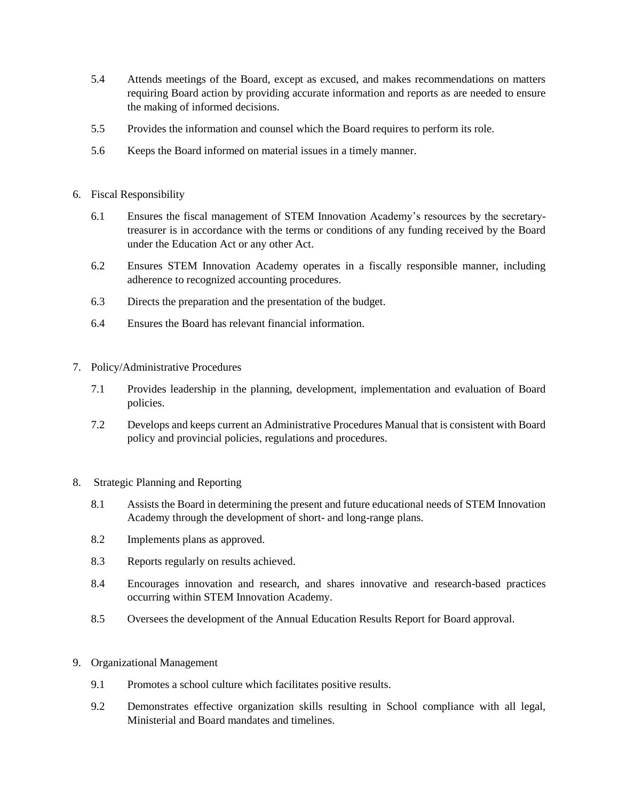- 5.4 Attends meetings of the Board, except as excused, and makes recommendations on matters requiring Board action by providing accurate information and reports as are needed to ensure the making of informed decisions.
- 5.5 Provides the information and counsel which the Board requires to perform its role.
- 5.6 Keeps the Board informed on material issues in a timely manner.
- 6. Fiscal Responsibility
	- 6.1 Ensures the fiscal management of STEM Innovation Academy's resources by the secretarytreasurer is in accordance with the terms or conditions of any funding received by the Board under the Education Act or any other Act.
	- 6.2 Ensures STEM Innovation Academy operates in a fiscally responsible manner, including adherence to recognized accounting procedures.
	- 6.3 Directs the preparation and the presentation of the budget.
	- 6.4 Ensures the Board has relevant financial information.
- 7. Policy/Administrative Procedures
	- 7.1 Provides leadership in the planning, development, implementation and evaluation of Board policies.
	- 7.2 Develops and keeps current an Administrative Procedures Manual that is consistent with Board policy and provincial policies, regulations and procedures.
- 8. Strategic Planning and Reporting
	- 8.1 Assists the Board in determining the present and future educational needs of STEM Innovation Academy through the development of short- and long-range plans.
	- 8.2 Implements plans as approved.
	- 8.3 Reports regularly on results achieved.
	- 8.4 Encourages innovation and research, and shares innovative and research-based practices occurring within STEM Innovation Academy.
	- 8.5 Oversees the development of the Annual Education Results Report for Board approval.
- 9. Organizational Management
	- 9.1 Promotes a school culture which facilitates positive results.
	- 9.2 Demonstrates effective organization skills resulting in School compliance with all legal, Ministerial and Board mandates and timelines.